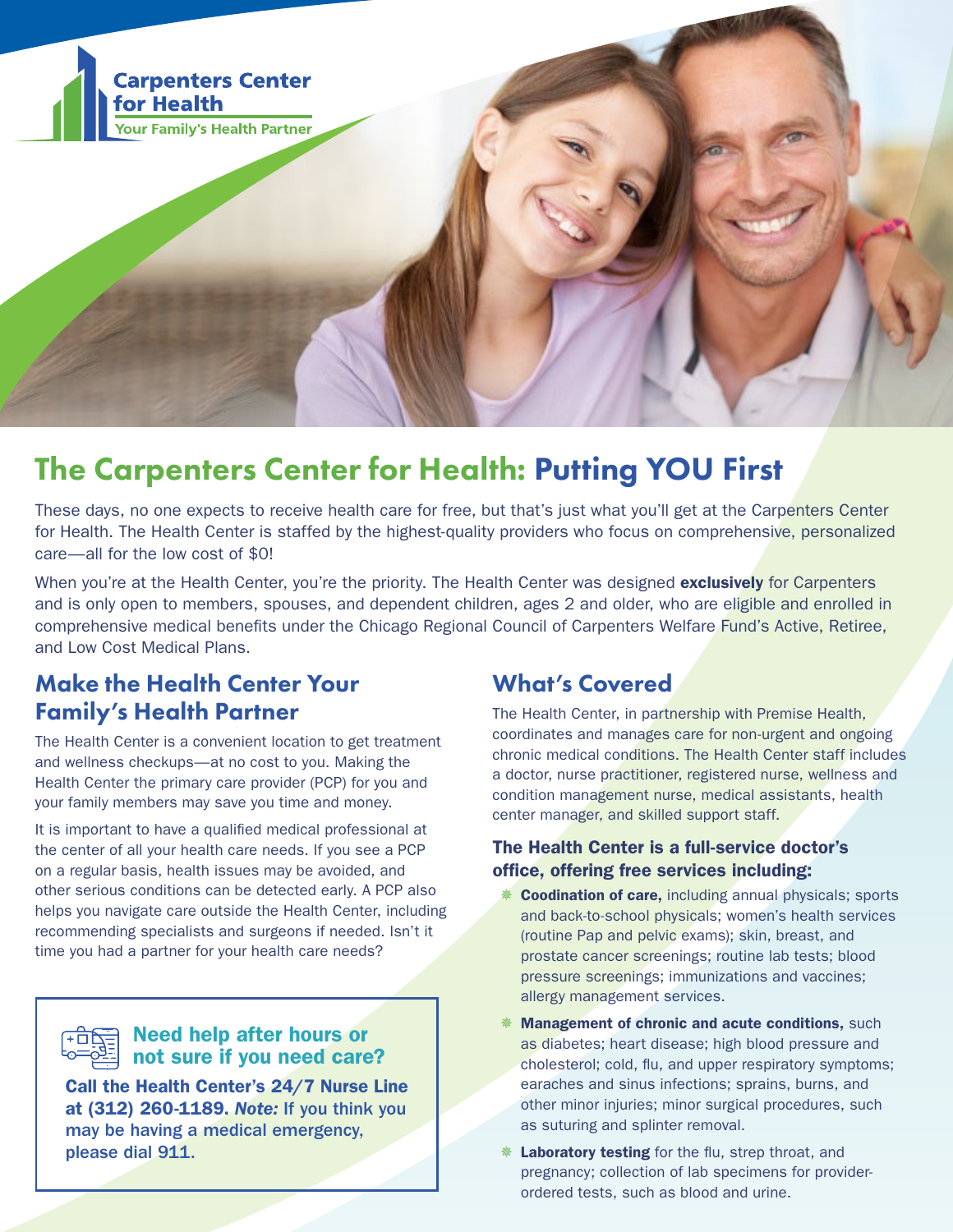

# The Carpenters Center for Health: Putting YOU First

These days, no one expects to receive health care for free, but that's just what you'll get at the Carpenters Center for Health. The Health Center is staffed by the highest-quality providers who focus on comprehensive, personalized care—all for the low cost of \$0!

When you're at the Health Center, you're the priority. The Health Center was designed exclusively for Carpenters and is only open to members, spouses, and dependent children, ages 2 and older, who are eligible and enrolled in comprehensive medical benefits under the Chicago Regional Council of Carpenters Welfare Fund's Active, Retiree, and Low Cost Medical Plans.

### Make the Health Center Your Family's Health Partner

The Health Center is a convenient location to get treatment and wellness checkups—at no cost to you. Making the Health Center the primary care provider (PCP) for you and your family members may save you time and money.

It is important to have a qualified medical professional at the center of all your health care needs. If you see a PCP on a regular basis, health issues may be avoided, and other serious conditions can be detected early. A PCP also helps you navigate care outside the Health Center, including recommending specialists and surgeons if needed. Isn't it time you had a partner for your health care needs?

#### Need help after hours or not sure if you need care?

Call the Health Center's 24/7 Nurse Line at (312) 260-1189. *Note:* If you think you may be having a medical emergency, please dial 911.

### What's Covered

The Health Center, in partnership with Premise Health, coordinates and manages care for non-urgent and ongoing chronic medical conditions. The Health Center staff includes a doctor, nurse practitioner, registered nurse, wellness and condition management nurse, medical assistants, health center manager, and skilled support staff.

#### The Health Center is a full-service doctor's office, offering free services including:

- **Coodination of care, including annual physicals; sports** and back-to-school physicals; women's health services (routine Pap and pelvic exams); skin, breast, and prostate cancer screenings; routine lab tests; blood pressure screenings; immunizations and vaccines; allergy management services.
- Management of chronic and acute conditions, such as diabetes; heart disease; high blood pressure and cholesterol; cold, flu, and upper respiratory symptoms; earaches and sinus infections; sprains, burns, and other minor injuries; minor surgical procedures, such as suturing and splinter removal.
- Laboratory testing for the flu, strep throat, and pregnancy; collection of lab specimens for providerordered tests, such as blood and urine.